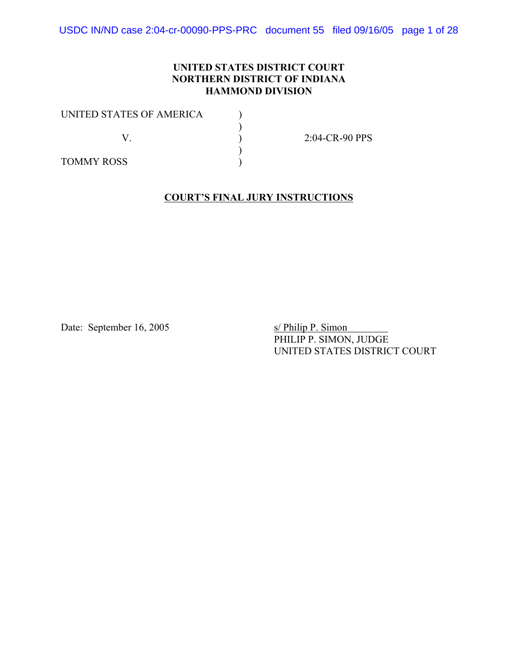USDC IN/ND case 2:04-cr-00090-PPS-PRC document 55 filed 09/16/05 page 1 of 28

### **UNITED STATES DISTRICT COURT NORTHERN DISTRICT OF INDIANA HAMMOND DIVISION**

| UNITED STATES OF AMERICA |                |
|--------------------------|----------------|
|                          | 2:04-CR-90 PPS |
| <b>TOMMY ROSS</b>        |                |

### **COURT'S FINAL JURY INSTRUCTIONS**

Date: September 16, 2005 s/ Philip P. Simon

PHILIP P. SIMON, JUDGE UNITED STATES DISTRICT COURT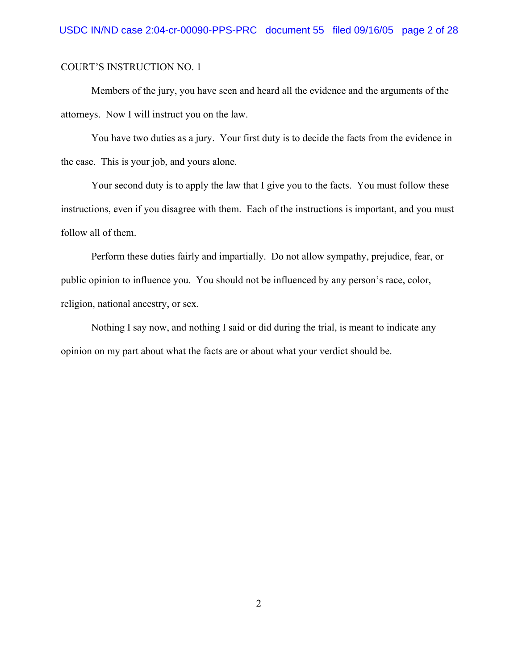Members of the jury, you have seen and heard all the evidence and the arguments of the attorneys. Now I will instruct you on the law.

You have two duties as a jury. Your first duty is to decide the facts from the evidence in the case. This is your job, and yours alone.

Your second duty is to apply the law that I give you to the facts. You must follow these instructions, even if you disagree with them. Each of the instructions is important, and you must follow all of them.

Perform these duties fairly and impartially. Do not allow sympathy, prejudice, fear, or public opinion to influence you. You should not be influenced by any person's race, color, religion, national ancestry, or sex.

Nothing I say now, and nothing I said or did during the trial, is meant to indicate any opinion on my part about what the facts are or about what your verdict should be.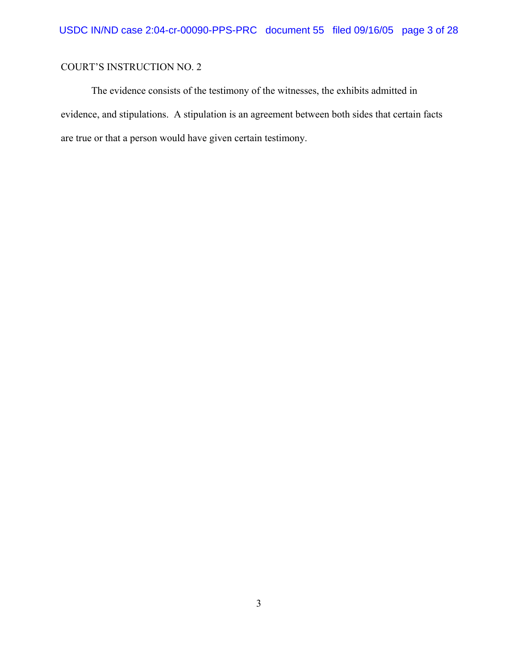The evidence consists of the testimony of the witnesses, the exhibits admitted in evidence, and stipulations. A stipulation is an agreement between both sides that certain facts are true or that a person would have given certain testimony.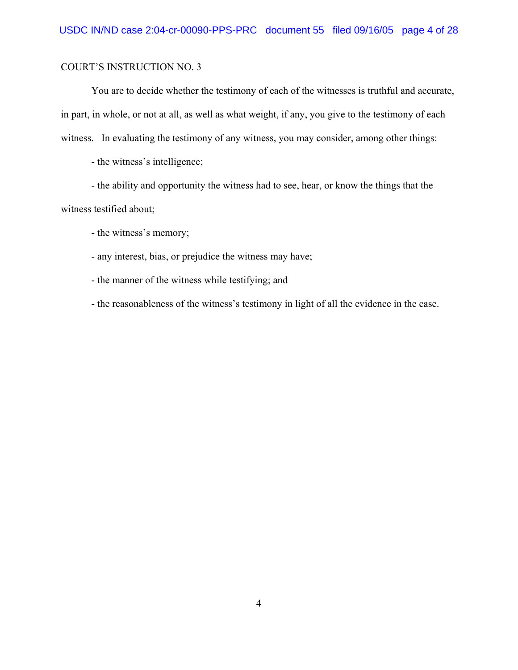You are to decide whether the testimony of each of the witnesses is truthful and accurate, in part, in whole, or not at all, as well as what weight, if any, you give to the testimony of each witness. In evaluating the testimony of any witness, you may consider, among other things:

- the witness's intelligence;

- the ability and opportunity the witness had to see, hear, or know the things that the witness testified about;

- the witness's memory;

- any interest, bias, or prejudice the witness may have;

- the manner of the witness while testifying; and

- the reasonableness of the witness's testimony in light of all the evidence in the case.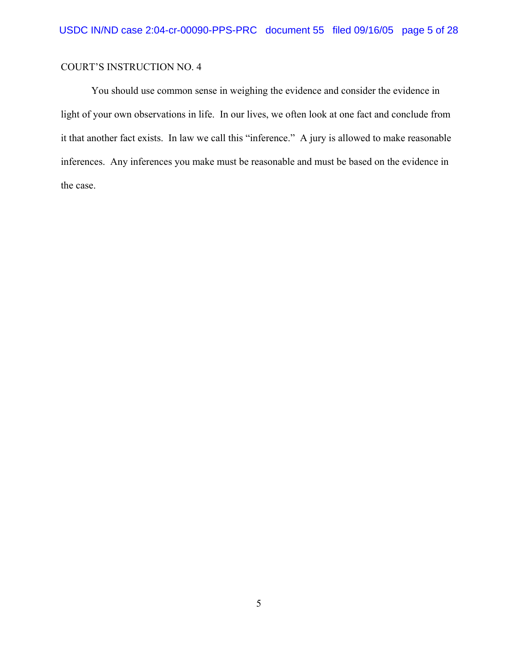You should use common sense in weighing the evidence and consider the evidence in light of your own observations in life. In our lives, we often look at one fact and conclude from it that another fact exists. In law we call this "inference." A jury is allowed to make reasonable inferences. Any inferences you make must be reasonable and must be based on the evidence in the case.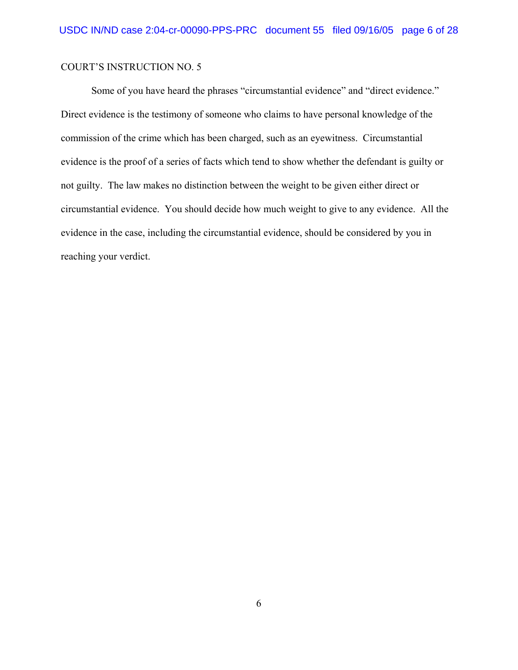Some of you have heard the phrases "circumstantial evidence" and "direct evidence." Direct evidence is the testimony of someone who claims to have personal knowledge of the commission of the crime which has been charged, such as an eyewitness. Circumstantial evidence is the proof of a series of facts which tend to show whether the defendant is guilty or not guilty. The law makes no distinction between the weight to be given either direct or circumstantial evidence. You should decide how much weight to give to any evidence. All the evidence in the case, including the circumstantial evidence, should be considered by you in reaching your verdict.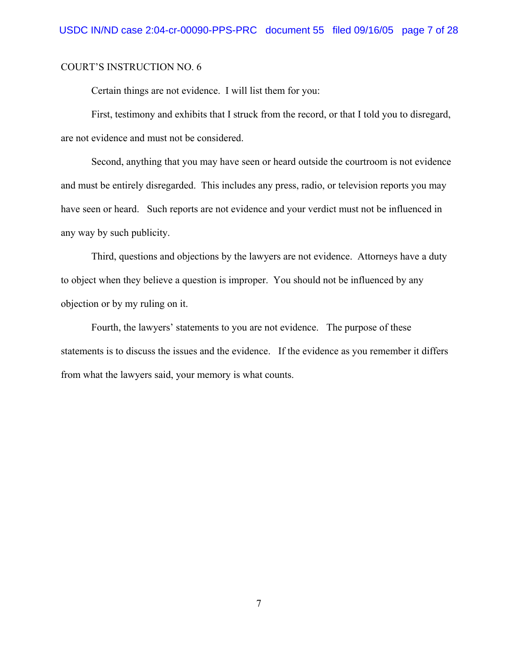Certain things are not evidence. I will list them for you:

First, testimony and exhibits that I struck from the record, or that I told you to disregard, are not evidence and must not be considered.

Second, anything that you may have seen or heard outside the courtroom is not evidence and must be entirely disregarded. This includes any press, radio, or television reports you may have seen or heard. Such reports are not evidence and your verdict must not be influenced in any way by such publicity.

Third, questions and objections by the lawyers are not evidence. Attorneys have a duty to object when they believe a question is improper. You should not be influenced by any objection or by my ruling on it.

Fourth, the lawyers' statements to you are not evidence. The purpose of these statements is to discuss the issues and the evidence. If the evidence as you remember it differs from what the lawyers said, your memory is what counts.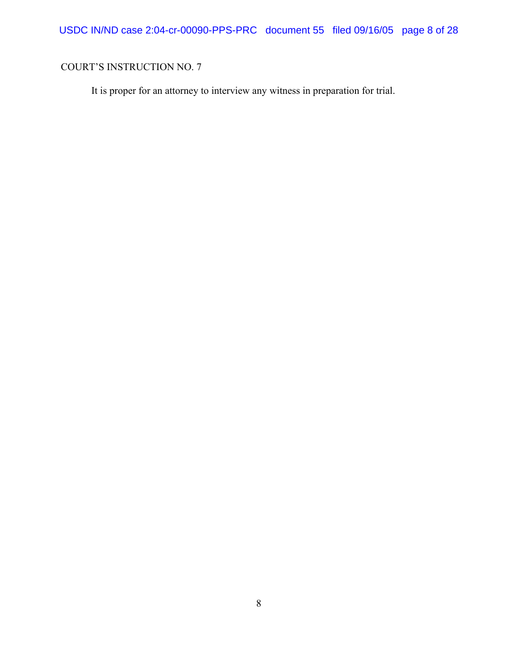USDC IN/ND case 2:04-cr-00090-PPS-PRC document 55 filed 09/16/05 page 8 of 28

# COURT'S INSTRUCTION NO. 7

It is proper for an attorney to interview any witness in preparation for trial.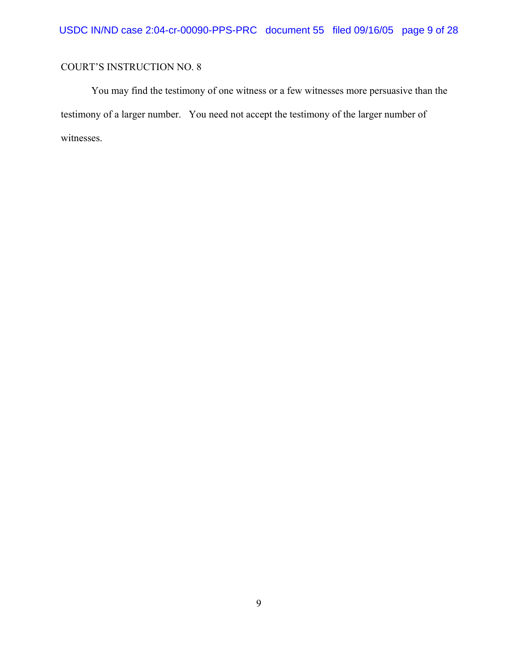You may find the testimony of one witness or a few witnesses more persuasive than the testimony of a larger number. You need not accept the testimony of the larger number of witnesses.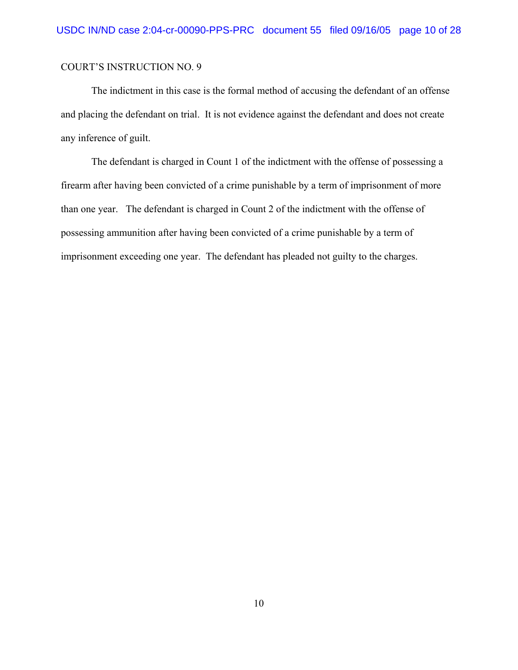The indictment in this case is the formal method of accusing the defendant of an offense and placing the defendant on trial. It is not evidence against the defendant and does not create any inference of guilt.

The defendant is charged in Count 1 of the indictment with the offense of possessing a firearm after having been convicted of a crime punishable by a term of imprisonment of more than one year. The defendant is charged in Count 2 of the indictment with the offense of possessing ammunition after having been convicted of a crime punishable by a term of imprisonment exceeding one year. The defendant has pleaded not guilty to the charges.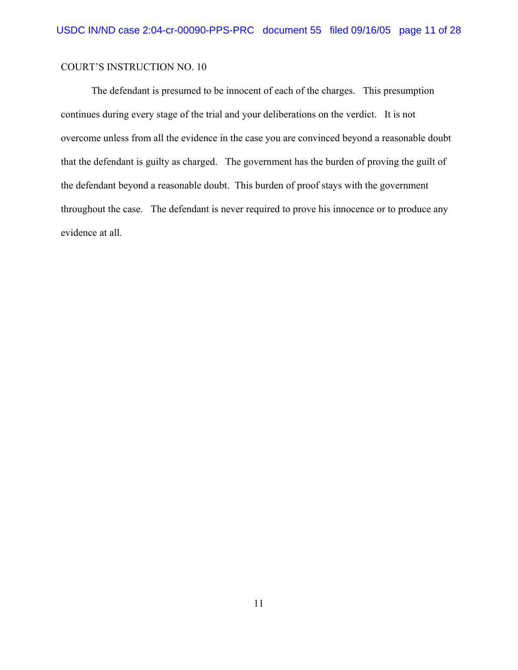The defendant is presumed to be innocent of each of the charges. This presumption continues during every stage of the trial and your deliberations on the verdict. It is not overcome unless from all the evidence in the case you are convinced beyond a reasonable doubt that the defendant is guilty as charged. The government has the burden of proving the guilt of the defendant beyond a reasonable doubt. This burden of proof stays with the government throughout the case. The defendant is never required to prove his innocence or to produce any evidence at all.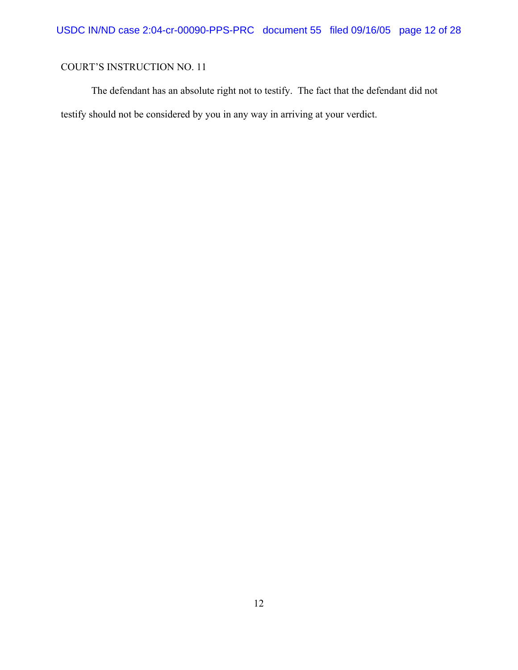The defendant has an absolute right not to testify. The fact that the defendant did not testify should not be considered by you in any way in arriving at your verdict.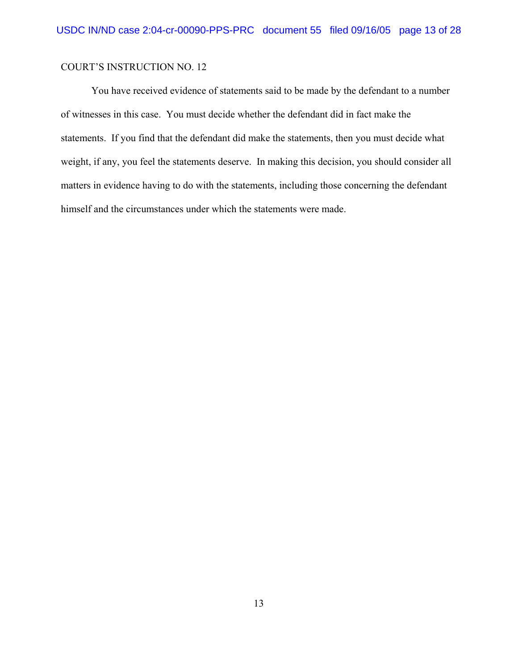You have received evidence of statements said to be made by the defendant to a number of witnesses in this case. You must decide whether the defendant did in fact make the statements. If you find that the defendant did make the statements, then you must decide what weight, if any, you feel the statements deserve. In making this decision, you should consider all matters in evidence having to do with the statements, including those concerning the defendant himself and the circumstances under which the statements were made.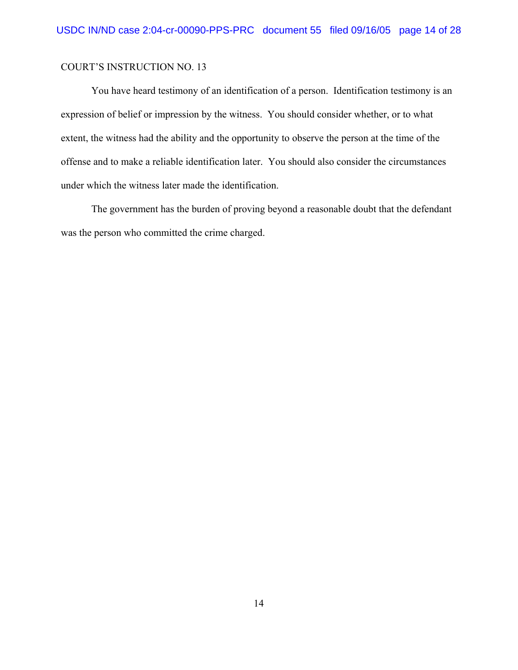You have heard testimony of an identification of a person. Identification testimony is an expression of belief or impression by the witness. You should consider whether, or to what extent, the witness had the ability and the opportunity to observe the person at the time of the offense and to make a reliable identification later. You should also consider the circumstances under which the witness later made the identification.

The government has the burden of proving beyond a reasonable doubt that the defendant was the person who committed the crime charged.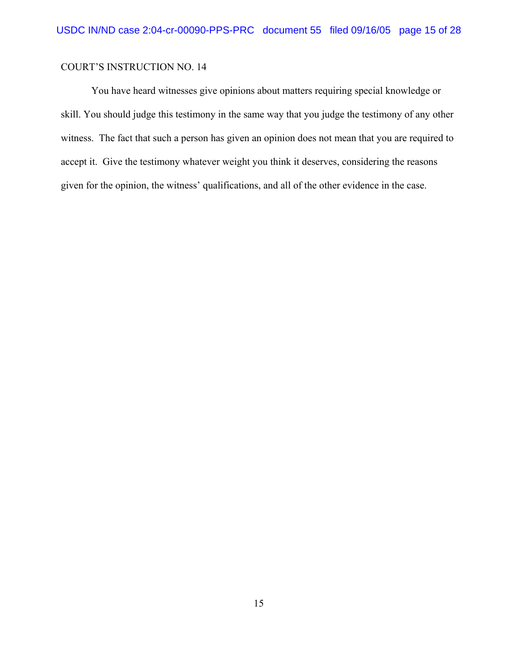You have heard witnesses give opinions about matters requiring special knowledge or skill. You should judge this testimony in the same way that you judge the testimony of any other witness. The fact that such a person has given an opinion does not mean that you are required to accept it. Give the testimony whatever weight you think it deserves, considering the reasons given for the opinion, the witness' qualifications, and all of the other evidence in the case.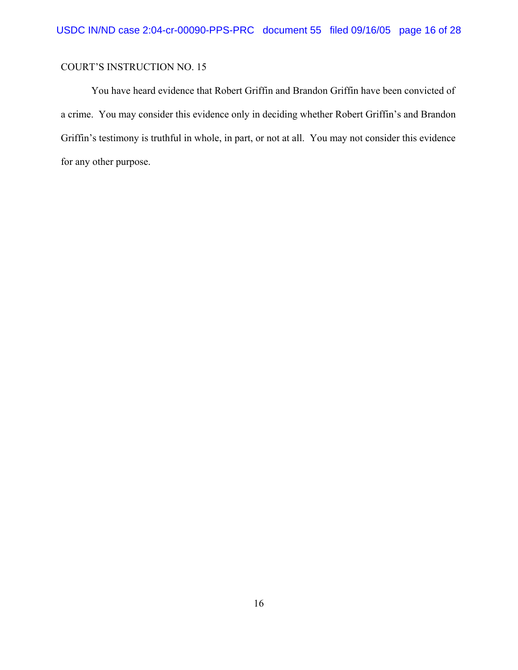You have heard evidence that Robert Griffin and Brandon Griffin have been convicted of a crime. You may consider this evidence only in deciding whether Robert Griffin's and Brandon Griffin's testimony is truthful in whole, in part, or not at all. You may not consider this evidence for any other purpose.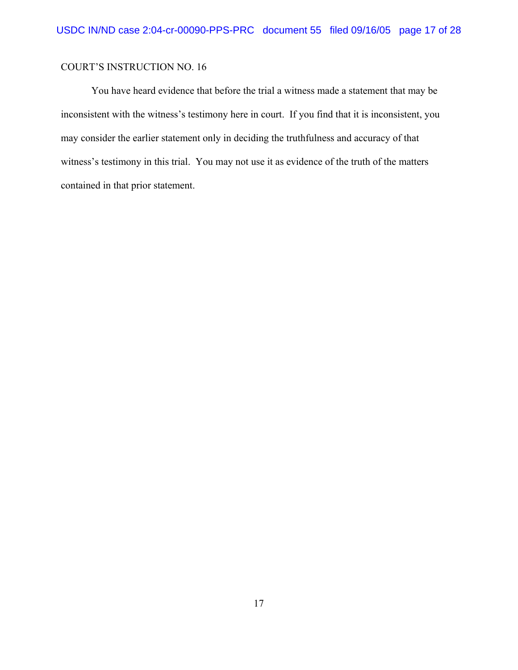You have heard evidence that before the trial a witness made a statement that may be inconsistent with the witness's testimony here in court. If you find that it is inconsistent, you may consider the earlier statement only in deciding the truthfulness and accuracy of that witness's testimony in this trial. You may not use it as evidence of the truth of the matters contained in that prior statement.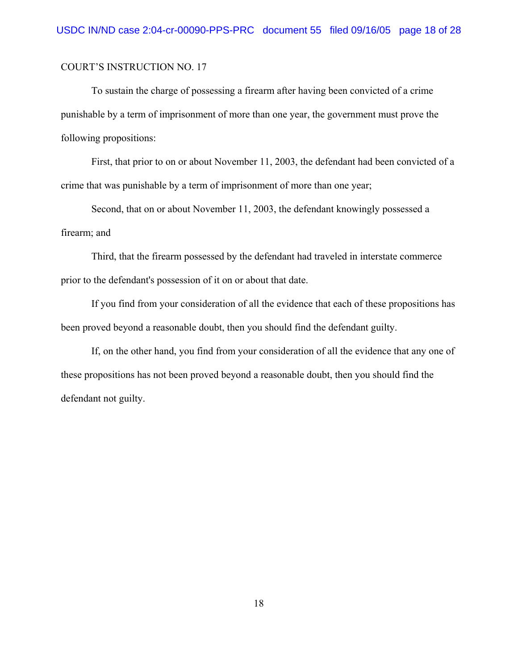To sustain the charge of possessing a firearm after having been convicted of a crime punishable by a term of imprisonment of more than one year, the government must prove the following propositions:

First, that prior to on or about November 11, 2003, the defendant had been convicted of a crime that was punishable by a term of imprisonment of more than one year;

Second, that on or about November 11, 2003, the defendant knowingly possessed a firearm; and

Third, that the firearm possessed by the defendant had traveled in interstate commerce prior to the defendant's possession of it on or about that date.

If you find from your consideration of all the evidence that each of these propositions has been proved beyond a reasonable doubt, then you should find the defendant guilty.

If, on the other hand, you find from your consideration of all the evidence that any one of these propositions has not been proved beyond a reasonable doubt, then you should find the defendant not guilty.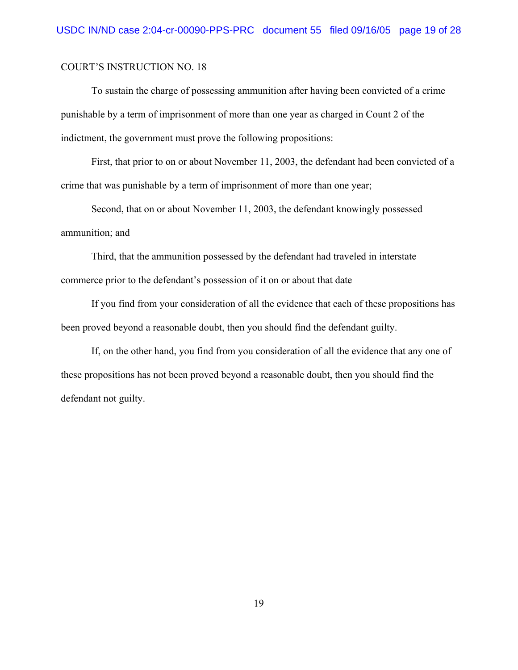To sustain the charge of possessing ammunition after having been convicted of a crime punishable by a term of imprisonment of more than one year as charged in Count 2 of the indictment, the government must prove the following propositions:

First, that prior to on or about November 11, 2003, the defendant had been convicted of a crime that was punishable by a term of imprisonment of more than one year;

Second, that on or about November 11, 2003, the defendant knowingly possessed ammunition; and

Third, that the ammunition possessed by the defendant had traveled in interstate commerce prior to the defendant's possession of it on or about that date

If you find from your consideration of all the evidence that each of these propositions has been proved beyond a reasonable doubt, then you should find the defendant guilty.

If, on the other hand, you find from you consideration of all the evidence that any one of these propositions has not been proved beyond a reasonable doubt, then you should find the defendant not guilty.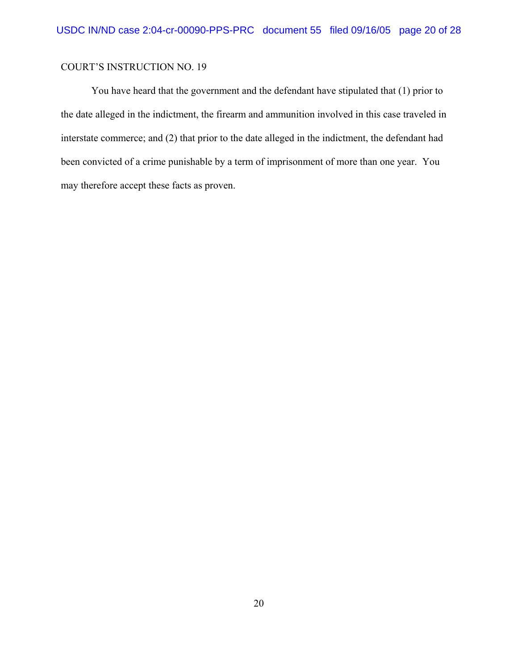You have heard that the government and the defendant have stipulated that (1) prior to the date alleged in the indictment, the firearm and ammunition involved in this case traveled in interstate commerce; and (2) that prior to the date alleged in the indictment, the defendant had been convicted of a crime punishable by a term of imprisonment of more than one year. You may therefore accept these facts as proven.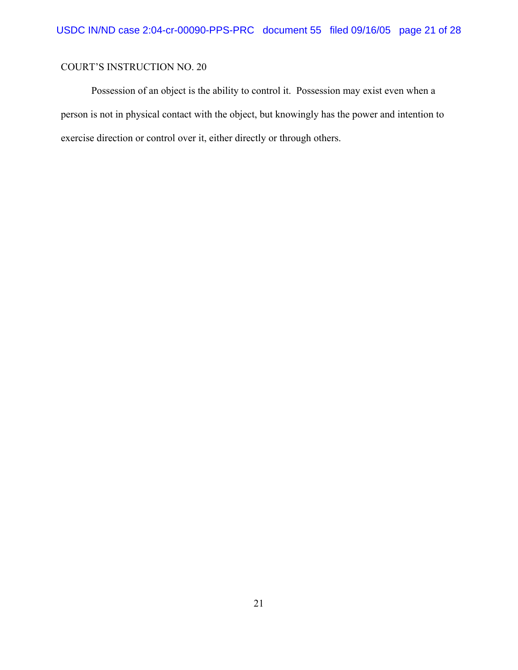Possession of an object is the ability to control it. Possession may exist even when a person is not in physical contact with the object, but knowingly has the power and intention to exercise direction or control over it, either directly or through others.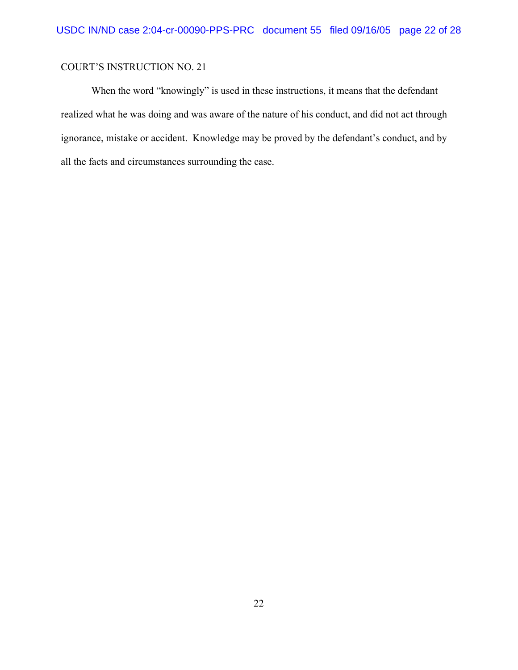When the word "knowingly" is used in these instructions, it means that the defendant realized what he was doing and was aware of the nature of his conduct, and did not act through ignorance, mistake or accident. Knowledge may be proved by the defendant's conduct, and by all the facts and circumstances surrounding the case.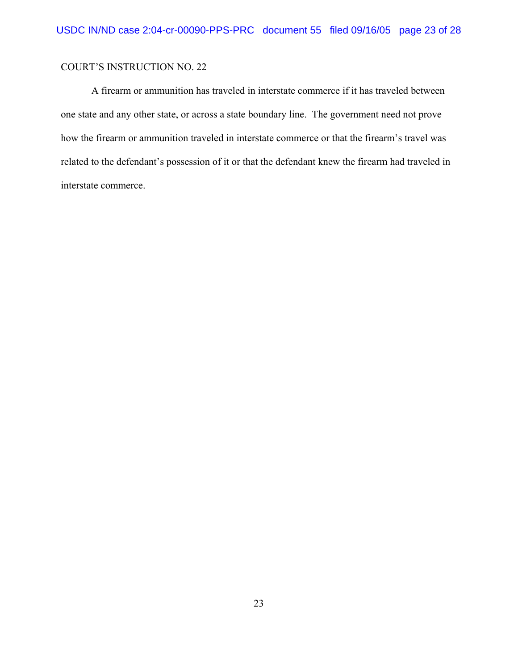A firearm or ammunition has traveled in interstate commerce if it has traveled between one state and any other state, or across a state boundary line. The government need not prove how the firearm or ammunition traveled in interstate commerce or that the firearm's travel was related to the defendant's possession of it or that the defendant knew the firearm had traveled in interstate commerce.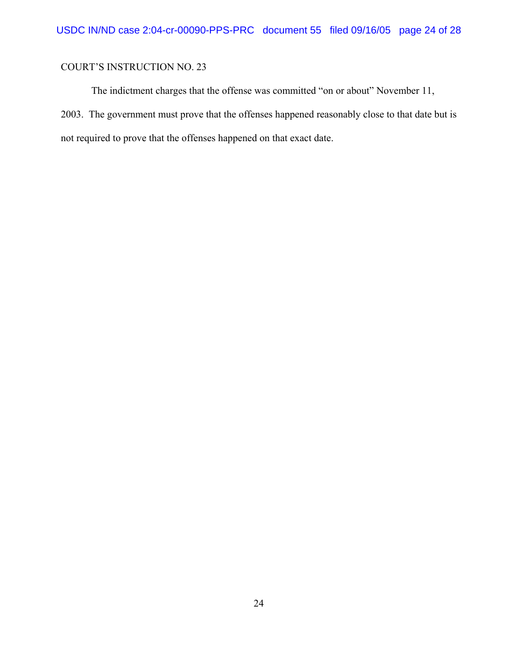The indictment charges that the offense was committed "on or about" November 11, 2003. The government must prove that the offenses happened reasonably close to that date but is not required to prove that the offenses happened on that exact date.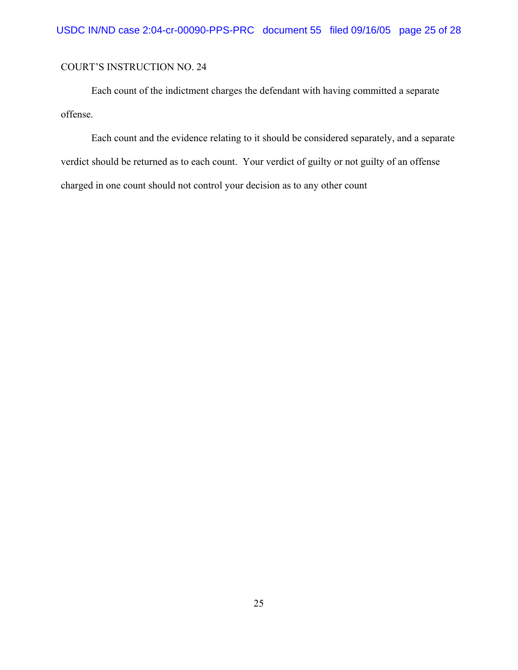Each count of the indictment charges the defendant with having committed a separate offense.

Each count and the evidence relating to it should be considered separately, and a separate verdict should be returned as to each count. Your verdict of guilty or not guilty of an offense charged in one count should not control your decision as to any other count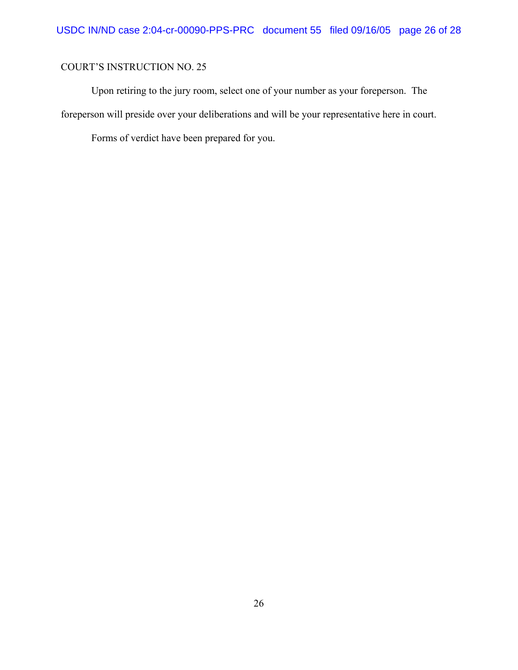Upon retiring to the jury room, select one of your number as your foreperson. The foreperson will preside over your deliberations and will be your representative here in court.

Forms of verdict have been prepared for you.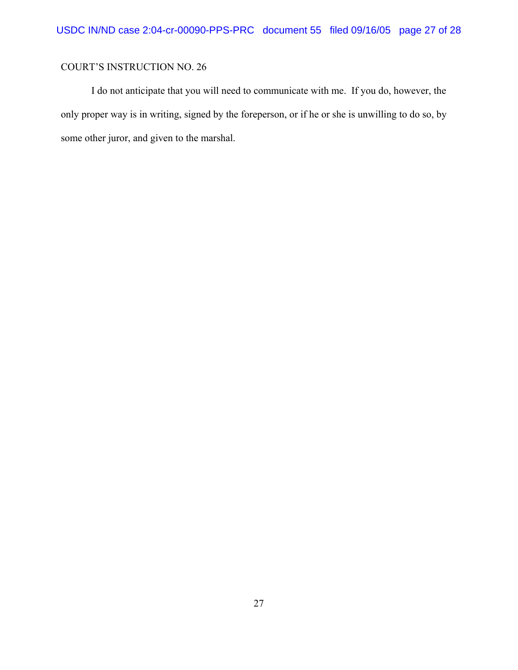I do not anticipate that you will need to communicate with me. If you do, however, the only proper way is in writing, signed by the foreperson, or if he or she is unwilling to do so, by some other juror, and given to the marshal.